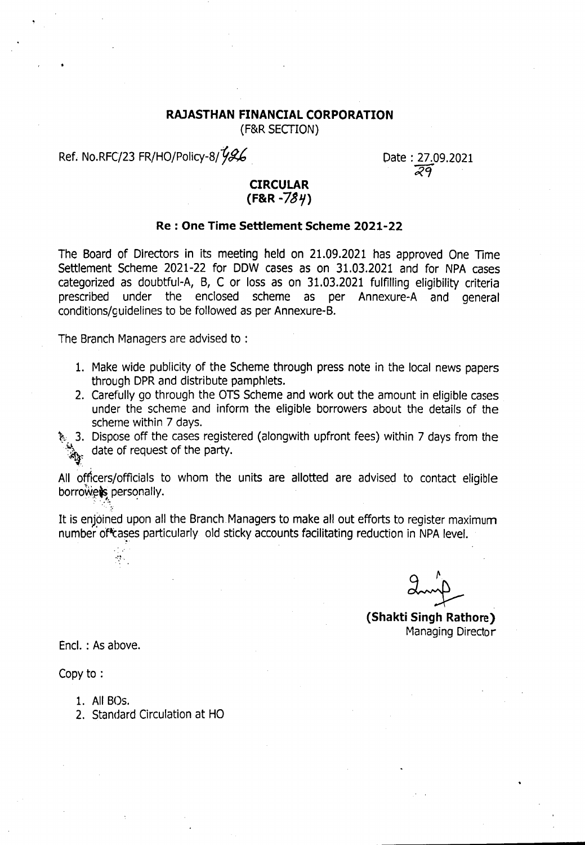## **RAJASTHAN FINANCIAL CORPORATION**

(F&R SECTION)

Ref. No.RFC/23 FR/HO/Policy-8/1926

Date: 27.09.2021 *eRei*

# **CIRCULAR (F&R** -739>

## **Re : One Time Settlement Scheme 2021-22**

The Board of Directors in its meeting held on 21.09.2021 has approved One Time Settlement Scheme 2021-22 for DDW cases as on 31.03.2021 and for NPA cases categorized as doubtful-A, B, C or loss as on 31.03.2021 fulfilling eligibility criteria prescribed under the enclosed scheme as per Annexure-A and general conditions/guidelines to be followed as per Annexure-B.

The Branch Managers are advised to :

- 1. Make wide publicity of the Scheme through press note in the local news papers through DPR and distribute pamphlets.
- 2. Carefully go through the OTS Scheme and work out the amount in eligible cases under the scheme and inform the eligible borrowers about the details of the scheme within 7 days.
- $\mathcal{R}_1$  3. Dispose off the cases registered (alongwith upfront fees) within 7 days from the date of request of the party.  $\mathcal{L}_2$  $\mathcal{A}_0$

All officers/officials to whom the units are allotted are advised to contact eligible borrowers, personally.

It is enjoined upon all the Branch Managers to make all out efforts to register maximum number of cases particularly old sticky accounts facilitating reduction in NPA level.

**(Shakti Singh Rathore)** Managing Director

Encl. : As above.

 $\mathcal{L}_{\mathcal{A}}$ 

Copy to :

- 1. All 80s.
- 2. Standard Circulation at HO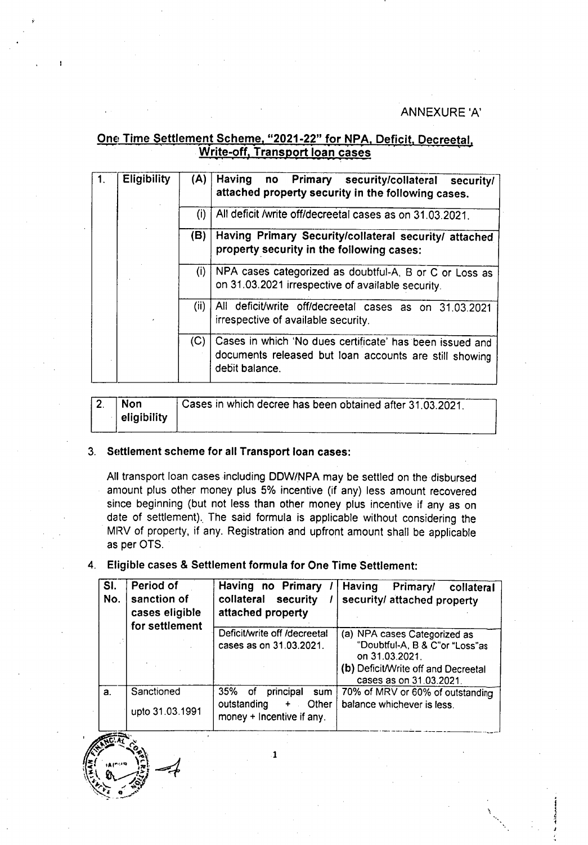### ANNEXURE 'A'

i

 $\frac{5}{4}$ *J*

# One Time Settlement Scheme, "2021-22" for NPA, Deficit, Decreeta Write-off. Transport loan cases

|             | <b>Eligibility</b> | (A) | Having<br>no Primary security/collateral security/<br>attached property security in the following cases.                             |
|-------------|--------------------|-----|--------------------------------------------------------------------------------------------------------------------------------------|
|             |                    | (i) | All deficit /write off/decreetal cases as on 31.03.2021.                                                                             |
|             |                    | (B) | Having Primary Security/collateral security/ attached<br>property security in the following cases:                                   |
| (i)<br>(ii) |                    |     | NPA cases categorized as doubtful-A, B or C or Loss as<br>on 31.03.2021 irrespective of available security.                          |
|             |                    |     | All deficit/write off/decreetal cases as on 31.03.2021<br>irrespective of available security.                                        |
|             |                    | (C) | Cases in which 'No dues certificate' has been issued and<br>documents released but loan accounts are still showing<br>debit balance. |

| <b>Non</b><br>eligibility | Cases in which decree has been obtained after 31,03,2021. |
|---------------------------|-----------------------------------------------------------|

#### 3. Settlement scheme for all Transport loan cases:

All transport loan cases including DDW/NPA may be settled on the disbursed amount plus other money plus 5% incentive (if any) less amount recovered since beginning (but not less than other money plus incentive if any as on date of settlement). The said formula is applicable without considering the MRV of property, if any. Registration and upfront amount shall be applicable as per OTS.

### 4. Eligible cases & Settlement formula for One Time Settlement:

| SI.<br>No. | Period of<br>sanction of<br>cases eligible<br>for settlement | Having no Primary<br>collateral security<br>attached property                               | Having<br>Primary/ collateral<br>security/ attached property                                                                                       |
|------------|--------------------------------------------------------------|---------------------------------------------------------------------------------------------|----------------------------------------------------------------------------------------------------------------------------------------------------|
|            |                                                              | Deficit/write off /decreetal<br>cases as on 31.03.2021.                                     | (a) NPA cases Categorized as<br>"Doubtful-A, B & C"or "Loss"as<br>on 31.03.2021.<br>(b) Deficit/Write off and Decreetal<br>cases as on 31.03.2021. |
| a.         | Sanctioned<br>upto 31.03.1991                                | 35%<br>principal<br>sum<br>ot<br>outstanding<br>Other<br>$+$ .<br>money + Incentive if any. | 70% of MRV or 60% of outstanding<br>balance whichever is less.                                                                                     |

1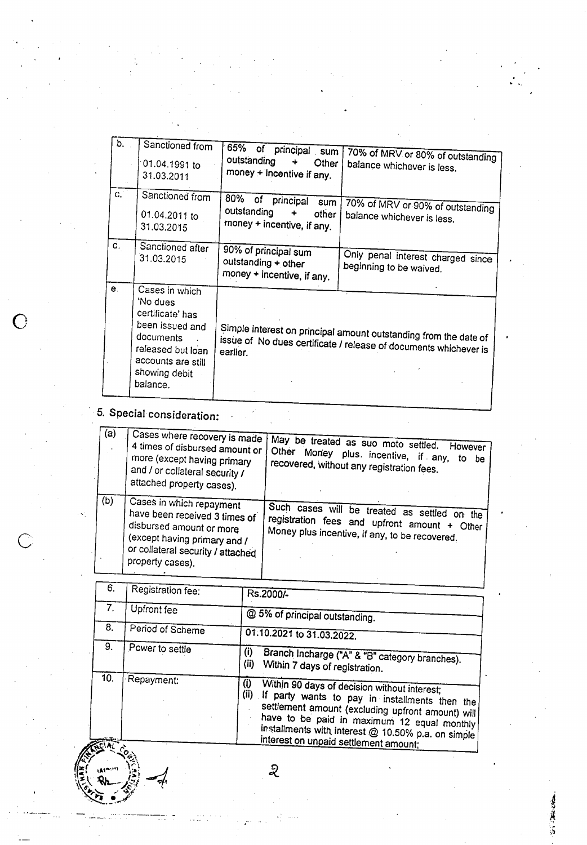| b.            | Sanctioned from<br>01.04.1991 to<br>31.03.2011                                                                                                         | 65%<br>of principal<br>sum<br>outstanding<br>Other<br>÷<br>money + Incentive if any.                                                             | 70% of MRV or 80% of outstanding<br>balance whichever is less. |
|---------------|--------------------------------------------------------------------------------------------------------------------------------------------------------|--------------------------------------------------------------------------------------------------------------------------------------------------|----------------------------------------------------------------|
| $C_{\bullet}$ | Sanctioned from<br>01.04.2011 to<br>31.03.2015                                                                                                         | 80%<br>of principal<br>sum<br>outstanding<br>other<br>money + incentive, if any.                                                                 | 70% of MRV or 90% of outstanding<br>balance whichever is less. |
| d.            | Sanctioned after<br>31.03.2015                                                                                                                         | 90% of principal sum<br>outstanding + other<br>money + incentive, if any.                                                                        | Only penal interest charged since<br>beginning to be waived.   |
| e.            | Cases in which<br>'No dues<br>certificate' has<br>been issued and<br>documents<br>released but loan<br>accounts are still<br>showing debit<br>balance. | Simple interest on principal amount outstanding from the date of<br>issue of No dues certificate / release of documents whichever is<br>earlier. |                                                                |

5. Special consideration:

**.**.A1"~'"'' ,~,~  $E \cdot R_L$ 

o

 $\circ$ 

| (a) | Cases where recovery is made<br>4 times of disbursed amount or<br>more (except having primary<br>and / or collateral security /<br>attached property cases).                   | May be treated as suo moto settled.<br>However<br>Other Money plus incentive, if any,<br>to<br>be<br>recovered, without any registration fees. |
|-----|--------------------------------------------------------------------------------------------------------------------------------------------------------------------------------|------------------------------------------------------------------------------------------------------------------------------------------------|
| (b) | Cases in which repayment<br>have been received 3 times of<br>disbursed amount or more<br>(except having primary and /<br>or collateral security / attached<br>property cases). | Such cases will be treated as settled on the<br>registration fees and upfront amount + Other<br>Money plus incentive, if any, to be recovered. |

| 6.  | Registration fee:  | Rs.2000/-                                                                                                                                                                                                                                                                                                        |
|-----|--------------------|------------------------------------------------------------------------------------------------------------------------------------------------------------------------------------------------------------------------------------------------------------------------------------------------------------------|
| 7.  | <b>Upfront fee</b> | @ 5% of principal outstanding.                                                                                                                                                                                                                                                                                   |
| 8.  | Period of Scheme   | 01.10.2021 to 31.03.2022.                                                                                                                                                                                                                                                                                        |
| 9.  | Power to settle    | (i)<br>Branch Incharge ("A" & "B" category branches).<br>(ii)<br>Within 7 days of registration.                                                                                                                                                                                                                  |
| 10. | Repayment:         | (i)<br>Within 90 days of decision without interest;<br>(ii)<br>If party wants to pay in installments then the<br>settlement amount (excluding upfront amount) will<br>have to be paid in maximum 12 equal monthly<br>installments with interest @ 10.50% p.a. on simple<br>interest on unpaid settlement amount; |

 $\sum_{i=1}^{n}$ 

1007年度11.5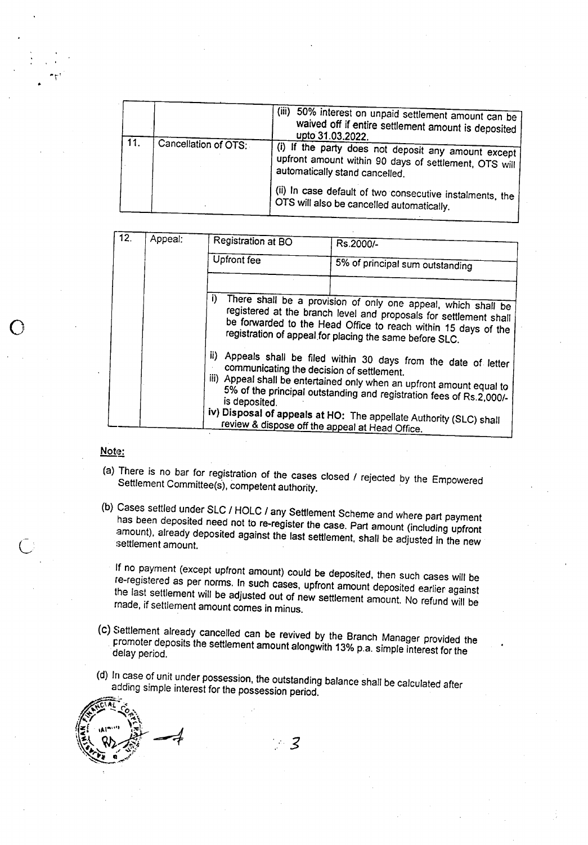| 11. | Cancellation of OTS: | (iii)<br>50% interest on unpaid settlement amount can be<br>waived off if entire settlement amount is deposited<br>upto 31.03.2022.<br>(i) If the party does not deposit any amount except<br>upfront amount within 90 days of settlement, OTS will<br>automatically stand cancelled. |
|-----|----------------------|---------------------------------------------------------------------------------------------------------------------------------------------------------------------------------------------------------------------------------------------------------------------------------------|
|     |                      | (ii) In case default of two consecutive instalments, the<br>OTS will also be cancelled automatically.                                                                                                                                                                                 |

| 12. | Appeal: | Registration at BO          | Rs.2000/-                                                                                                                                                                                                                                                                                                                                                                                                                                                                                                                     |
|-----|---------|-----------------------------|-------------------------------------------------------------------------------------------------------------------------------------------------------------------------------------------------------------------------------------------------------------------------------------------------------------------------------------------------------------------------------------------------------------------------------------------------------------------------------------------------------------------------------|
|     |         | <b>Upfront fee</b>          | 5% of principal sum outstanding                                                                                                                                                                                                                                                                                                                                                                                                                                                                                               |
|     |         | j)<br>ii).<br>is deposited. | There shall be a provision of only one appeal, which shall be<br>registered at the branch level and proposals for settlement shall<br>be forwarded to the Head Office to reach within 15 days of the<br>registration of appeal for placing the same before SLC.<br>Appeals shall be filed within 30 days from the date of letter<br>communicating the decision of settlement.<br>iii) Appeal shall be entertained only when an upfront amount equal to<br>5% of the principal outstanding and registration fees of Rs.2,000/- |
|     |         |                             | iv) Disposal of appeals at HO: The appellate Authority (SLC) shall<br>review & dispose off the appeal at Head Office.                                                                                                                                                                                                                                                                                                                                                                                                         |

### Note:

o

- (a) There is no bar for registration of the cases closed / rejected by the Empowered Settlement Committee(s), competent authority.
- (b) Cases settled under SLC / HOLC / any Settlement Scheme and where part payment has been deposited need not to re-register the case. Part amount (including upfront amount), already deposited against the last settlement, shall be adjusted in the new settlement amount.

If no payment (except upfront amount) could be deposited, then such cases will be Ie-registered as per norms. In such cases, upfront amount deposited earlier against the last settlement will be adjusted out of new settlement amount. No refund will be made, if settlement amount comes in minus.

- (c) Settlement already cancelled can be revived by the Branch Manager provided the promoter deposits the settlement amount alongwith 13% p.a. simple interest for the delay period.
- (d) In case of unit under possession, the outstanding balance shall be calculated after adding simple interest for the possession period.

- 3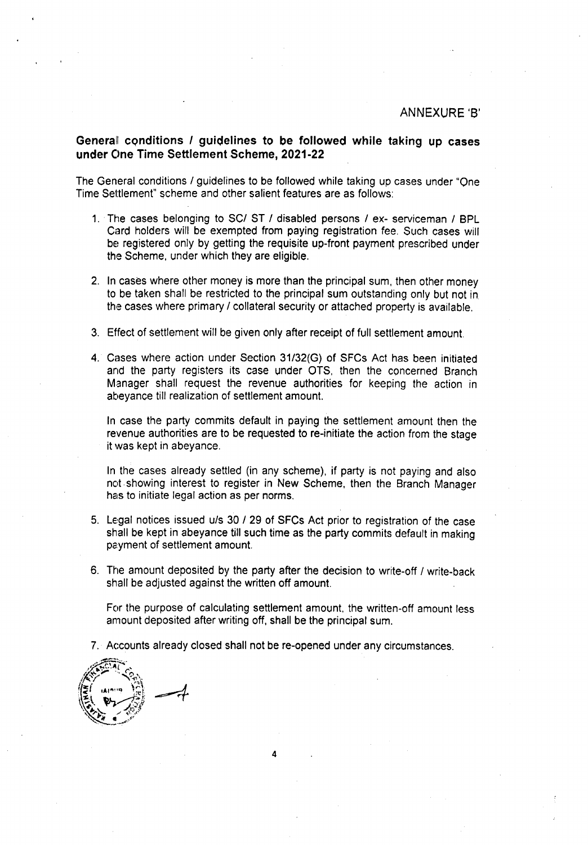### Generall **cqnditions** *I* **guidelines to be followed while taking up cases under One Time Settlement Scheme, 2021-22**

The General conditions *I* guidelines to be followed while taking up cases under "One Time Settlement" scheme and other salient features are as follows:

- 1. The cases belonging to *SCI* ST *I* disabled persons *I ex-* serviceman *I* BPL Card holders will be exempted from paying registration fee. Such cases will be registered only by getting the requisite up-front payment prescribed under the Scheme, under which they are eligible.
- 2. In cases where other money is more than the principal sum, then other money to be taken shall be restricted to the principal sum outstanding only but not in the cases where primary *I* collateral security or attached property is available.
- 3. Effect of settlement will be given only after receipt of full settlement amount.
- 4. Cases where action under Section *31/32(G)* of SFCs Act has been initiated and the party registers its case under OTS, then the concerned Branch Manager shall request the revenue authorities for keeping the action in abeyance till realization of settlement amount.

In case the party commits default in paying the settlement amount then the revenue authorities are to be requested to re-initiate the action from the stage it was kept in abeyance.

In the cases already settled (in any scheme), if party is not paying and also not. showing interest to register in New Scheme. then the Branch Manager has to initiate legal action as per norms.

- 5. Legal notices issued *u/s* 30 / 29 of SFCs Act prior to registration of the case shall be kept in abeyance till such time as the party commits default in making payment of settlement amount.
- 6. The amount deposited by the party after the decision to write-off *I* write-back shall be adjusted against the written off amount.

For the purpose of calculating settlement amount. the written-off amount less amount deposited after writing *off,* shall be the principal sum.

7. Accounts already closed shall not be re-opened under any circumstances.

4

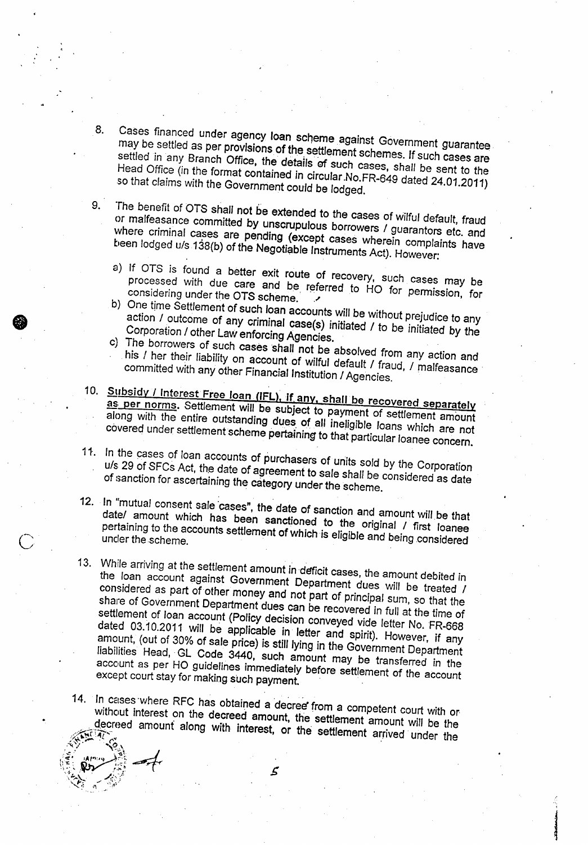- Cases financed under agency loan scheme against Government guarantee 8. may be settled as per provisions of the settlement schemes. If such cases are settled in any Branch Office, the details of such cases, shall be sent to the Head Office (in the format contained in circular.No.FR-649 dated 24.01.2011) so that claims with the Government could be lodged.
- 9. The benefit of OTS shall not be extended to the cases of wilful default, fraud or malfeasance committed by unscrupulous borrowers / guarantors etc. and where criminal cases are pending (except cases wherein complaints have been lodged u/s138(b) of the Negotiable Instruments Act). However:
	- a) If OTS is found a better exit route of recovery, such cases may be processed with due care and be, referred to HO for permission, for considering under the OTS scheme. .......
	- b) One time Settlement of such loan accounts will be without prejudice to any action *I* outcome of any criminal case(s) initiated / to be initiated by the Corporation *I* other Law enforcing Agencies.
	- c) The borrowers of such cases shall not be absolved from any action and his *I* her their liability on account of wilful *default I* fraud, *I* malfeasance committed with any other Financial Institution *I* Agencies.
- 10. Subsidy / Interest Free Ioan (IFL), if any, shall be recovered separately as; per norms. *Settlement* will be subject to payment of settlement amount along with the entire outstanding dues of all ineligible loans which are not covered under settlement scheme pertaining to that particular loanee concern.
- 11. In the cases of loan accounts of purchasers of units sold by the Corporation *u/s* 29 of SFCs Act, the date of agreement to sale shall be considered as *date* of sanction for ascertaining the category under the scheme.
- 12. In "mutual consent sale 'cases", the date of sanction and amount will be that *datel* amount which has been sanctioned to the original *I* first loanee pertaining to the accounts settlement of which is eligible and being considered
- 13. While arriving at the settlement amount in deficit cases, the amount debited in the loan account against Government Department dues will be treated *I* considered as part of other money and not part of principal sum, so that the share of Government Department dues can be recovered in full at the time of settlement of loan account (Policy decision conveyed vide letter No. FR-668 dated 03.10.2011 will be applicable in letter and *spirit).* However, if any amount, (out of 30% of sale price) is still lying in the Government Department liabilities Head, Gl Code 3440, such amount may be transferred in the account as per HO guidelines immediately before settlement of the account except court stay for making such payment.

14. In cases where RFC has obtained a decree from a competent court with or without interest on the decreed amount, the settlement amount will be the alective amount along with interest, or the settlement arrived under the

.

**Included Inc.** 



 $\circ$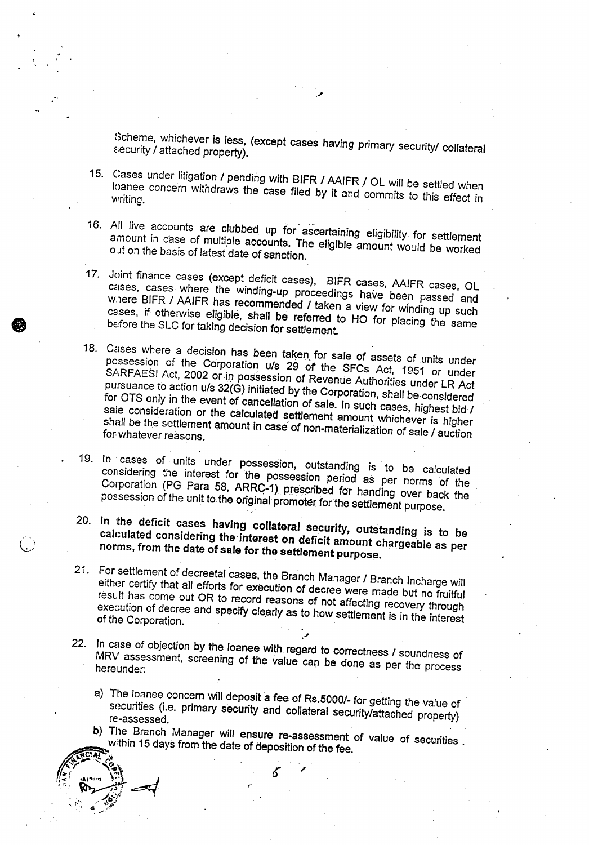Scheme, whichever is less, (except cases having primary security/ collateral security / attached property).

."

15. Cases under litigation / pending with BIFR / AAIFR *I* OL will be settled when writing.<br>writing.

.. ,'

**•** 

(、

- 16. All live accounts are clubbed up for aseertaining eligibility for settlement amount in case of multiple accounts. The eligible amount would be worked out on the basis of latest date of sanction.
- 17. Joint finance cases (except deficit cases), BIFR cases, AAIFR cases, OL cases, cases where the. winding-up proceedings have been passed and *where* BIFR / AAIFR has recommended / taken a view for winding up such cases, if otherwise eligible, shall be referred to HO for placing the same before the SLC for taking decision for settlement.
- 18. Cases where a decision has been taken for sale of assets of units under possession of the Corporation u/s 29 *of* the SFCs Act, 1951 or under SARFAESI Act, 2002 or in possession of Revenue Authorities under LR Act pursuance to action u/s 32(G) initiated by the Corporation, shall be considered for OTS only in the event of cancellation of sale. In such cases, highest bid / sale consideration or the calculated settlement amount whichever is higher shall be the settlement amount In case of non-materialization of sale / auction for whatever reasons.
- 19. In cases of units under possession, outstanding is' to be *calculated* considering the interest for the possession period as per norms of the Corporation (PG Para 58, ARRC-1) prescribed for handing over back the possession of the unit to the original promoter for the settlement purpose.
- 20. In the deficit cases having collateral security, outstanding is to be calculated considering the interest on deficit amount chargeable as per norms, from the *date* of sale for the settlement purpose.
- 21. For settlement of decreetal cases, the Branch Manager / Branch Incharge will either certify that all efforts for execution of decree were made but no fruitful result has come out OR to record reasons of not affecting recovery through execution of decree and specify clearly as to how settlement is in the interest of the Corporation. ., ,
- ." 22. In case of objection by the loanee with. regard to correctness / soundness of MRV assessment, screening of the value can be done as per the' process hereunder:
	- a) The loanee concern will deposit a fee of Rs.5000/- for getting the value of securities (i.e. primary security and collateral security/attached property) re-assessed.
- b) The Branch Manager will ensure re-assessment of value of securities. within 15 days from the date of deposition of the fee. **ANDIAL CO.**

,.

 $\mathbb{R}^{\mathbb{Z}}$  . Almine  $\mathbb{Z}^{\mathbb{Z}}$  .  $\mathbb{R}$ 

*./" ..••f'* 0;:- ," .••*~J* ','l 4 *,..r*  $\cdot$  .

,<'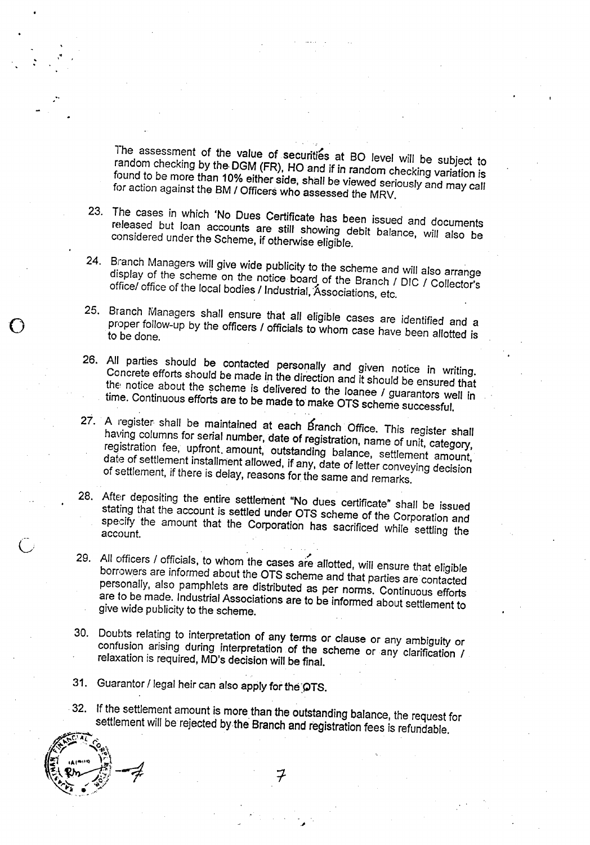The assessment of the value of securities at BO level will be subject to random checking by the DGM (FR), HO and if in random checking variation is found to be more than 10% either *side, shall* be *viewed* seriously and may call for action against the 8M *I* Officers who assessed the MRV.

- 23. The cases in which 'No Dues Certificate has been issued and documents released but loan accounts are *still* showing debit balance, will also be considered under the Scheme, if otherwise eligible.
- 24. Branch Managers will give wide publicity to the scheme and *will* also arrange display of the scheme on the notice board of the Branch *I* DIC *I* Collector's *officel* office of the local bodies *I* Industrial, 'Associations. etc.
- 25. Branch Managers shall ensure that all eligible cases are identified and a proper follow-up by the officers *I* officials to whom case have been allotted is to be done.
- 26. All parties should be contacted personally and *given* notice *in writing.* Concrete efforts should be made in the direction and it should be ensured that the notice about the scheme is delivered to the loanee / guarantors well in time. Continuous efforts are to be made to make OTS scheme successful.
- 27. A register shall be maintained at each Branch Office. This register shall having columns for serial number, date of registration, name of unit, category, registration fee, upfront amount, outstanding balance, settlement amount, date of settlement installment allowed, if any, date of letter conveying decision of settlement, if there is delay, reasons for the same and remarks.
- 28. After depositing the entire settlement "No dues certificate" shall be *issued* stating that the account is settled under OTS scheme of the Corporation and specify the amount that the Corporation has sacrificed while settling the account.
- 29. All officers *I* officials, to whom the cases are allotted, will ensure that eligible borrowers are informed about the OTS scheme and that parties are contacted personally, also pamphlets are distributed as per norms. Continuous efforts are to be made. Industrial Associations are to be informed about settlement to give wide publicity to the scheme.
- 30. Doubts relating to interpretation of any terms or clause or any ambiguity or confusion arising during interpretation of the scheme or any clarification *I* relaxation is required, MD's decision will be final.
- 31. Guarantor / legal heir can also apply for the OTS.
- 32. If the settlement amount is more than the outstanding balance, the request for settlement will be rejected by the Branch and registration fees is refundable.

,;

o

, .

,.